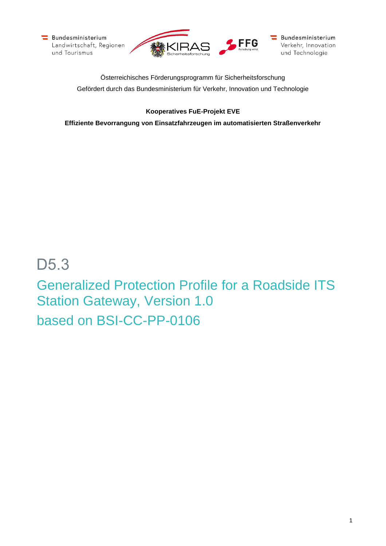



Bundesministerium Verkehr, Innovation und Technologie

Österreichisches Förderungsprogramm für Sicherheitsforschung Gefördert durch das Bundesministerium für Verkehr, Innovation und Technologie

## **Kooperatives FuE-Projekt EVE**

**Effiziente Bevorrangung von Einsatzfahrzeugen im automatisierten Straßenverkehr**

# D5.3 Generalized Protection Profile for a Roadside ITS Station Gateway, Version 1.0 based on BSI-CC-PP-0106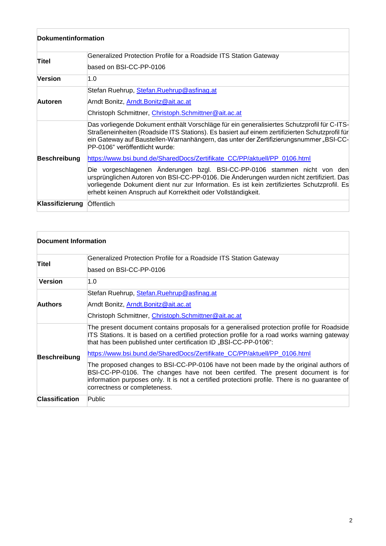| Dokumentinformation |                                                                                                                                                                                                                                                                                                                                                                                                        |  |
|---------------------|--------------------------------------------------------------------------------------------------------------------------------------------------------------------------------------------------------------------------------------------------------------------------------------------------------------------------------------------------------------------------------------------------------|--|
| Titel               | Generalized Protection Profile for a Roadside ITS Station Gateway<br>based on BSI-CC-PP-0106                                                                                                                                                                                                                                                                                                           |  |
| <b>Version</b>      | 1.0                                                                                                                                                                                                                                                                                                                                                                                                    |  |
| Autoren             | Stefan Ruehrup, Stefan.Ruehrup@asfinag.at<br>Arndt Bonitz, <u>Arndt.Bonitz@ait.ac.at</u><br>Christoph Schmittner, Christoph.Schmittner@ait.ac.at                                                                                                                                                                                                                                                       |  |
| <b>Beschreibung</b> | Das vorliegende Dokument enthält Vorschläge für ein generalisiertes Schutzprofil für C-ITS-<br>Straßeneinheiten (Roadside ITS Stations). Es basiert auf einem zertifizierten Schutzprofil für<br>ein Gateway auf Baustellen-Warnanhängern, das unter der Zertifizierungsnummer "BSI-CC-<br>PP-0106" veröffentlicht wurde:<br>https://www.bsi.bund.de/SharedDocs/Zertifikate_CC/PP/aktuell/PP_0106.html |  |
|                     | Die vorgeschlagenen Änderungen bzgl. BSI-CC-PP-0106 stammen nicht von den<br>ursprünglichen Autoren von BSI-CC-PP-0106. Die Änderungen wurden nicht zertifiziert. Das<br>vorliegende Dokument dient nur zur Information. Es ist kein zertifiziertes Schutzprofil. Es<br>erhebt keinen Anspruch auf Korrektheit oder Vollständigkeit.                                                                   |  |
| Klassifizierung     | Öffentlich                                                                                                                                                                                                                                                                                                                                                                                             |  |

| Document Information  |                                                                                                                                                                                                                                                                                                                                            |
|-----------------------|--------------------------------------------------------------------------------------------------------------------------------------------------------------------------------------------------------------------------------------------------------------------------------------------------------------------------------------------|
| Titel                 | Generalized Protection Profile for a Roadside ITS Station Gateway<br>based on BSI-CC-PP-0106                                                                                                                                                                                                                                               |
| <b>Version</b>        | 1.0                                                                                                                                                                                                                                                                                                                                        |
| <b>Authors</b>        | Stefan Ruehrup, Stefan.Ruehrup@asfinag.at<br>Arndt Bonitz, Arndt. Bonitz@ait.ac.at<br>Christoph Schmittner, Christoph.Schmittner@ait.ac.at                                                                                                                                                                                                 |
| <b>Beschreibung</b>   | The present document contains proposals for a generalised protection profile for Roadside<br>ITS Stations. It is based on a certified protection profile for a road works warning gateway<br>that has been published unter certification ID "BSI-CC-PP-0106":<br>https://www.bsi.bund.de/SharedDocs/Zertifikate_CC/PP/aktuell/PP_0106.html |
|                       | The proposed changes to BSI-CC-PP-0106 have not been made by the original authors of<br>BSI-CC-PP-0106. The changes have not been certifed. The present document is for<br>information purposes only. It is not a certified protectioni profile. There is no guarantee of<br>correctness or completeness.                                  |
| <b>Classification</b> | Public                                                                                                                                                                                                                                                                                                                                     |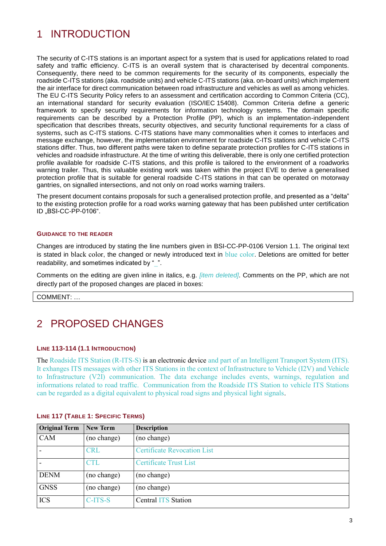## 1 INTRODUCTION

The security of C-ITS stations is an important aspect for a system that is used for applications related to road safety and traffic efficiency. C-ITS is an overall system that is characterised by decentral components. Consequently, there need to be common requirements for the security of its components, especially the roadside C-ITS stations (aka. roadside units) and vehicle C-ITS stations (aka. on-board units) which implement the air interface for direct communication between road infrastructure and vehicles as well as among vehicles. The EU C-ITS Security Policy refers to an assessment and certification according to Common Criteria (CC), an international standard for security evaluation (ISO/IEC 15408). Common Criteria define a generic framework to specify security requirements for information technology systems. The domain specific requirements can be described by a Protection Profile (PP), which is an implementation-independent specification that describes threats, security objectives, and security functional requirements for a class of systems, such as C-ITS stations. C-ITS stations have many commonalities when it comes to interfaces and message exchange, however, the implementation environment for roadside C-ITS stations and vehicle C-ITS stations differ. Thus, two different paths were taken to define separate protection profiles for C-ITS stations in vehicles and roadside infrastructure. At the time of writing this deliverable, there is only one certified protection profile available for roadside C-ITS stations, and this profile is tailored to the environment of a roadworks warning trailer. Thus, this valuable existing work was taken within the project EVE to derive a generalised protection profile that is suitable for general roadside C-ITS stations in that can be operated on motorway gantries, on signalled intersections, and not only on road works warning trailers.

The present document contains proposals for such a generalised protection profile, and presented as a "delta" to the existing protection profile for a road works warning gateway that has been published unter certification ID "BSI-CC-PP-0106".

#### **GUIDANCE TO THE READER**

Changes are introduced by stating the line numbers given in BSI-CC-PP-0106 Version 1.1. The original text is stated in black color, the changed or newly introduced text in blue color. Deletions are omitted for better readability, and sometimes indicated by ".

Comments on the editing are given inline in italics, e.g. *[item deleted]*. Comments on the PP, which are not directly part of the proposed changes are placed in boxes:

COMMENT: …

## 2 PROPOSED CHANGES

## **LINE 113-114 (1.1 INTRODUCTION)**

The Roadside ITS Station (R-ITS-S) is an electronic device and part of an Intelligent Transport System (ITS). It exhanges ITS messages with other ITS Stations in the context of Infrastructure to Vehicle (I2V) and Vehicle to Infrastructure (V2I) communication. The data exchange includes events, warnings, regulation and informations related to road traffic. Communication from the Roadside ITS Station to vehicle ITS Stations can be regarded as a digital equivalent to physical road signs and physical light signals.

| <b>Original Term</b> | <b>New Term</b> | <b>Description</b>                 |
|----------------------|-----------------|------------------------------------|
| CAM                  | (no change)     | (no change)                        |
|                      | <b>CRL</b>      | <b>Certificate Revocation List</b> |
|                      | <b>CTL</b>      | <b>Certificate Trust List</b>      |
| <b>DENM</b>          | (no change)     | (no change)                        |
| <b>GNSS</b>          | (no change)     | (no change)                        |
| <b>ICS</b>           | C-ITS-S         | <b>Central ITS Station</b>         |

## **LINE 117 (TABLE 1: SPECIFIC TERMS)**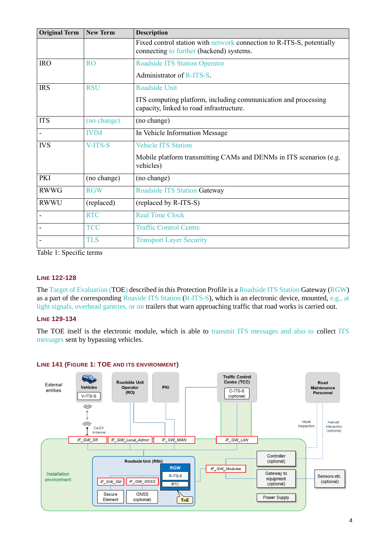| <b>Original Term</b> | <b>New Term</b> | <b>Description</b>                                                                                                |  |  |
|----------------------|-----------------|-------------------------------------------------------------------------------------------------------------------|--|--|
|                      |                 | Fixed control station with network connection to R-ITS-S, potentially<br>connecting to further (backend) systems. |  |  |
| <b>IRO</b>           | RO              | <b>Roadside ITS Station Operator</b>                                                                              |  |  |
|                      |                 | Administrator of R-ITS-S.                                                                                         |  |  |
| <b>IRS</b>           | <b>RSU</b>      | Roadside Unit                                                                                                     |  |  |
|                      |                 | ITS computing platform, including communication and processing<br>capacity, linked to road infrastructure.        |  |  |
| <b>ITS</b>           | (no change)     | (no change)                                                                                                       |  |  |
| -                    | <b>IVIM</b>     | In Vehicle Information Message                                                                                    |  |  |
| <b>IVS</b>           | V-ITS-S         | <b>Vehicle ITS Station</b>                                                                                        |  |  |
|                      |                 | Mobile platform transmitting CAMs and DENMs in ITS scenarios (e.g.<br>vehicles)                                   |  |  |
| PKI                  | (no change)     | (no change)                                                                                                       |  |  |
| <b>RWWG</b>          | <b>RGW</b>      | <b>Roadside ITS Station Gateway</b>                                                                               |  |  |
| <b>RWWU</b>          | (replaced)      | (replaced by R-ITS-S)                                                                                             |  |  |
| -                    | <b>RTC</b>      | <b>Real Time Clock</b>                                                                                            |  |  |
|                      | <b>TCC</b>      | <b>Traffic Control Centre</b>                                                                                     |  |  |
|                      | <b>TLS</b>      | <b>Transport Layer Security</b>                                                                                   |  |  |

Table 1: Specific terms

## **LINE 122-128**

The Target of Evaluation (TOE) described in this Protection Profile is a Roadside ITS Station Gateway (RGW) as a part of the corresponding Roaside ITS Station (R-ITS-S), which is an electronic device, mounted, e.g., at light signals, overhead gantries, or on trailers that warn approaching traffic that road works is carried out.

## **LINE 129-134**

The TOE itself is the electronic module, which is able to transmit ITS messages and also to collect ITS messages sent by bypassing vehicles.

## **LINE 141 (FIGURE 1: TOE AND ITS ENVIRONMENT)**

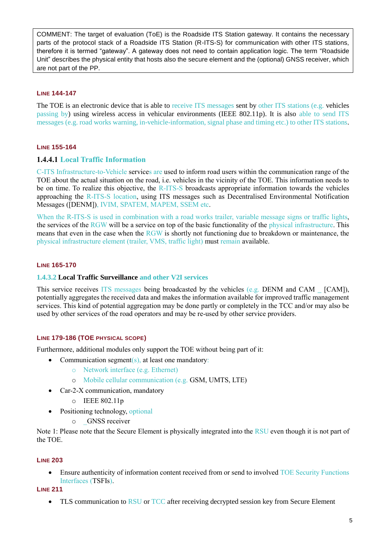COMMENT: The target of evaluation (ToE) is the Roadside ITS Station gateway. It contains the necessary parts of the protocol stack of a Roadside ITS Station (R-ITS-S) for communication with other ITS stations, therefore it is termed "gateway". A gateway does not need to contain application logic. The term "Roadside Unit" describes the physical entity that hosts also the secure element and the (optional) GNSS receiver, which are not part of the PP.

## **LINE 144-147**

The TOE is an electronic device that is able to receive ITS messages sent by other ITS stations (e.g. vehicles passing by) using wireless access in vehicular environments (IEEE 802.11p). It is also able to send ITS messages (e.g. road works warning, in-vehicle-information, signal phase and timing etc.) to other ITS stations.

## **LINE 155-164**

## **1.4.4.1 Local Traffic Information**

C-ITS Infrastructure-to-Vehicle services are used to inform road users within the communication range of the TOE about the actual situation on the road, i.e. vehicles in the vicinity of the TOE. This information needs to be on time. To realize this objective, the R-ITS-S broadcasts appropriate information towards the vehicles approaching the R-ITS-S location, using ITS messages such as Decentralised Environmental Notification Messages ([DENM]), IVIM, SPATEM, MAPEM, SSEM etc.

When the R-ITS-S is used in combination with a road works trailer, variable message signs or traffic lights, the services of the RGW will be a service on top of the basic functionality of the physical infrastructure. This means that even in the case when the RGW is shortly not functioning due to breakdown or maintenance, the physical infrastructure element (trailer, VMS, traffic light) must remain available.

## **LINE 165-170**

## **1.4.3.2 Local Traffic Surveillance and other V2I services**

This service receives ITS messages being broadcasted by the vehicles  $(e.g.$  DENM and CAM  $\_[CAM]$ ), potentially aggregates the received data and makes the information available for improved traffic management services. This kind of potential aggregation may be done partly or completely in the TCC and/or may also be used by other services of the road operators and may be re-used by other service providers.

## **LINE 179-186 (TOE PHYSICAL SCOPE)**

Furthermore, additional modules only support the TOE without being part of it:

- Communication segment( $s$ ), at least one mandatory:
	- o Network interface (e.g. Ethernet)
	- o Mobile cellular communication (e.g. GSM, UMTS, LTE)
- Car-2-X communication, mandatory
	- o IEEE 802.11p
- Positioning technology, optional
	- o \_GNSS receiver

Note 1: Please note that the Secure Element is physically integrated into the RSU even though it is not part of the TOE.

## **LINE 203**

• Ensure authenticity of information content received from or send to involved TOE Security Functions Interfaces (TSFIs).

**LINE 211**

• TLS communication to RSU or TCC after receiving decrypted session key from Secure Element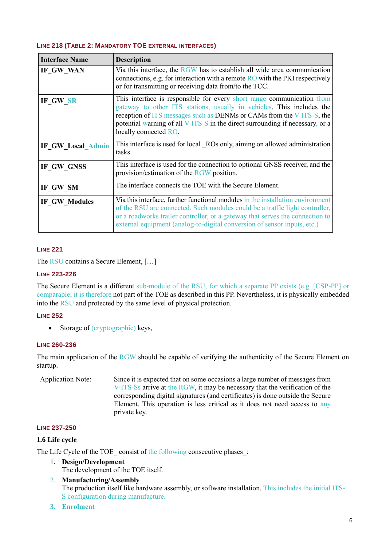## **LINE 218 (TABLE 2: MANDATORY TOE EXTERNAL INTERFACES)**

| <b>Interface Name</b> | <b>Description</b>                                                                                                                                                                                                                                                                                                                 |
|-----------------------|------------------------------------------------------------------------------------------------------------------------------------------------------------------------------------------------------------------------------------------------------------------------------------------------------------------------------------|
| IF GW WAN             | Via this interface, the RGW has to establish all wide area communication<br>connections, e.g. for interaction with a remote $RO$ with the PKI respectively<br>or for transmitting or receiving data from/to the TCC.                                                                                                               |
| IF_GW_SR              | This interface is responsible for every short range communication from<br>gateway to other ITS stations, usually in vehicles. This includes the<br>reception of ITS messages such as DENMs or CAMs from the V-ITS-S, the<br>potential warning of all V-ITS-S in the direct surrounding if necessary, or a<br>locally connected RO. |
| IF_GW_Local_Admin     | This interface is used for local ROs only, aiming on allowed administration<br>tasks.                                                                                                                                                                                                                                              |
| IF_GW_GNSS            | This interface is used for the connection to optional GNSS receiver, and the<br>provision/estimation of the RGW position.                                                                                                                                                                                                          |
| IF_GW_SM              | The interface connects the TOE with the Secure Element.                                                                                                                                                                                                                                                                            |
| IF_GW_Modules         | Via this interface, further functional modules in the installation environment<br>of the RSU are connected. Such modules could be a traffic light controller,<br>or a roadworks trailer controller, or a gateway that serves the connection to<br>external equipment (analog-to-digital conversion of sensor inputs, etc.)         |

## **LINE 221**

The RSU contains a Secure Element, […]

## **LINE 223-226**

The Secure Element is a different sub-module of the RSU, for which a separate PP exists (e.g. [CSP-PP] or comparable; it is therefore not part of the TOE as described in this PP. Nevertheless, it is physically embedded into the RSU and protected by the same level of physical protection.

## **LINE 252**

• Storage of (cryptographic) keys,

## **LINE 260-236**

The main application of the RGW should be capable of verifying the authenticity of the Secure Element on startup.

Application Note: Since it is expected that on some occasions a large number of messages from V-ITS-Ss arrive at the RGW, it may be necessary that the verification of the corresponding digital signatures (and certificates) is done outside the Secure Element. This operation is less critical as it does not need access to any private key.

## **LINE 237-250**

## **1.6 Life cycle**

The Life Cycle of the TOE consist of the following consecutive phases :

- 1. **Design/Development**
	- The development of the TOE itself.
- 2. **Manufacturing/Assembly** The production itself like hardware assembly, or software installation. This includes the initial ITS-S configuration during manufacture.
- **3. Enrolment**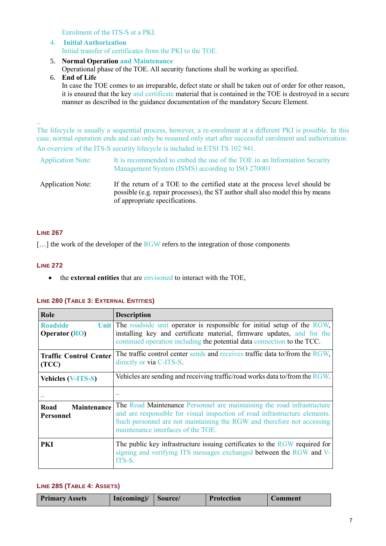Enrolment of the ITS-S at a PKI.

- 4. **Initial Authorization** Initial transfer of certificates from the PKI to the TOE.
- 5. **Normal Operation and Maintenance**

Operational phase of the TOE. All security functions shall be working as specified.

6. **End of Life** In case the TOE comes to an irreparable, defect state or shall be taken out of order for other reason, it is ensured that the key and certificate material that is contained in the TOE is destroyed in a secure manner as described in the guidance documentation of the mandatory Secure Element.

The lifecycle is usually a sequential process, however, a re-enrolment at a different PKI is possible. In this case, normal operation ends and can only be resumed only start after successful enrolment and authorization. An overview of the ITS-S security lifecycle is included in ETSI TS 102 941.

| <b>Application Note:</b> | It is recommended to embed the use of the TOE in an Information Security<br>Management System (ISMS) according to ISO 270001                                                                     |
|--------------------------|--------------------------------------------------------------------------------------------------------------------------------------------------------------------------------------------------|
| <b>Application Note:</b> | If the return of a TOE to the certified state at the process level should be<br>possible (e.g. repair processes), the ST author shall also model this by means<br>of appropriate specifications. |

## **LINE 267**

 $\overline{\phantom{a}}$ 

 $\left[\ldots\right]$  the work of the developer of the RGW refers to the integration of those components

## **LINE 272**

the **external entities** that are envisoned to interact with the TOE,

| Role                                           | <b>Description</b>                                                                                                                                                                                                                                                   |
|------------------------------------------------|----------------------------------------------------------------------------------------------------------------------------------------------------------------------------------------------------------------------------------------------------------------------|
| <b>Roadside</b><br><b>Operator (RO)</b>        | Unit The roadside unit operator is responsible for initial setup of the RGW,<br>installing key and certificate material, firmware updates, and for the<br>continued operation including the potential data connection to the TCC.                                    |
| <b>Traffic Control Center</b><br>(TCC)         | The traffic control center sends and receives traffic data to/from the RGW,<br>directly or via C-ITS-S.                                                                                                                                                              |
| <b>Vehicles (V-ITS-S)</b>                      | Vehicles are sending and receiving traffic/road works data to/from the RGW.                                                                                                                                                                                          |
|                                                |                                                                                                                                                                                                                                                                      |
| <b>Maintenance</b><br>Road<br><b>Personnel</b> | The Road Maintenance Personnel are maintaining the road infrastructure<br>and are responsible for visual inspection of road infrastructure elements.<br>Such personnel are not maintaining the RGW and therefore not accessing<br>maintenance interfaces of the TOE. |
| PKI                                            | The public key infrastructure issuing certificates to the RGW required for<br>signing and verifying ITS messages exchanged between the RGW and V-<br>ITS-S.                                                                                                          |

## **LINE 280 (TABLE 3: EXTERNAL ENTITIES)**

## **LINE 285 (TABLE 4: ASSETS)**

| In(coming) /   Source/<br><b>Primary Assets</b> |  | <b>Protection</b> | <b>Comment</b> |
|-------------------------------------------------|--|-------------------|----------------|
|-------------------------------------------------|--|-------------------|----------------|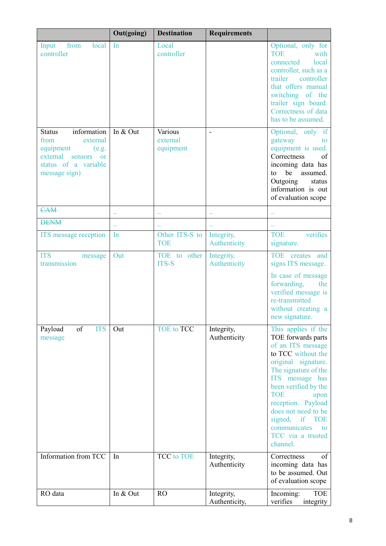|                                                                                                                                                     | Out(going) | <b>Destination</b>               | <b>Requirements</b>         |                                                                                                                                                                                                                                                                                                                                         |
|-----------------------------------------------------------------------------------------------------------------------------------------------------|------------|----------------------------------|-----------------------------|-----------------------------------------------------------------------------------------------------------------------------------------------------------------------------------------------------------------------------------------------------------------------------------------------------------------------------------------|
| from<br>local<br>Input<br>controller                                                                                                                | In         | Local<br>controller              |                             | Optional, only for<br><b>TOE</b><br>with<br>connected<br>local<br>controller, such as a<br>trailer<br>controller<br>that offers manual<br>switching of the<br>trailer sign board.<br>Correctness of data<br>has to be assumed.                                                                                                          |
| information<br><b>Status</b><br>from<br>external<br>equipment<br>(e.g.<br>external<br>sensors<br><b>or</b><br>status of a variable<br>message sign) | In & Out   | Various<br>external<br>equipment |                             | Optional, only if<br>gateway<br>to<br>equipment is used.<br>Correctness<br>of<br>incoming data has<br>be assumed.<br>to<br>Outgoing<br>status<br>information is out<br>of evaluation scope                                                                                                                                              |
| <b>CAM</b>                                                                                                                                          |            |                                  |                             |                                                                                                                                                                                                                                                                                                                                         |
| <b>DENM</b>                                                                                                                                         |            |                                  |                             |                                                                                                                                                                                                                                                                                                                                         |
| ITS message reception                                                                                                                               | In         | Other ITS-S to<br><b>TOE</b>     | Integrity,<br>Authenticity  | verifies<br><b>TOE</b><br>signature.                                                                                                                                                                                                                                                                                                    |
| <b>ITS</b><br>message<br>transmission                                                                                                               | Out        | TOE to other<br><b>ITS-S</b>     | Integrity,<br>Authenticity  | TOE creates and<br>signs ITS message.<br>In case of message<br>forwarding,<br>the<br>verified message is<br>re-transmitted<br>without creating a<br>new signature.                                                                                                                                                                      |
| of<br>Payload<br><b>ITS</b><br>message                                                                                                              | Out        | <b>TOE</b> to <b>TCC</b>         | Integrity,<br>Authenticity  | This applies if the<br>TOE forwards parts<br>of an ITS message<br>to TCC without the<br>original signature.<br>The signature of the<br>ITS message has<br>been verified by the<br><b>TOE</b><br>upon<br>reception. Payload<br>does not need to be<br>signed,<br>if<br><b>TOE</b><br>communicates<br>to<br>TCC via a trusted<br>channel. |
| Information from TCC                                                                                                                                | In         | <b>TCC</b> to TOE                | Integrity,<br>Authenticity  | of<br>Correctness<br>incoming data has<br>to be assumed. Out<br>of evaluation scope                                                                                                                                                                                                                                                     |
| RO data                                                                                                                                             | In & Out   | RO                               | Integrity,<br>Authenticity, | <b>TOE</b><br>Incoming:<br>verifies<br>integrity                                                                                                                                                                                                                                                                                        |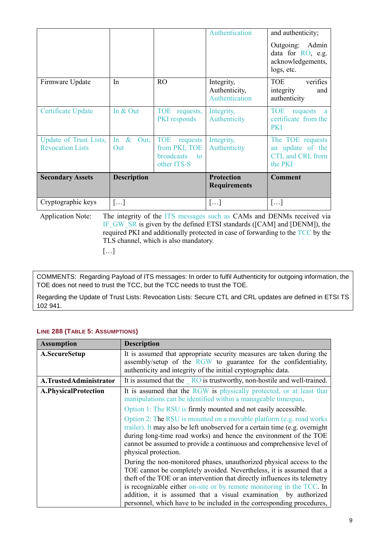|                                                   |                        |                                                                                | Authentication                                | and authenticity;                                                            |
|---------------------------------------------------|------------------------|--------------------------------------------------------------------------------|-----------------------------------------------|------------------------------------------------------------------------------|
|                                                   |                        |                                                                                |                                               | Outgoing: Admin<br>data for RO, e.g.<br>acknowledgements,<br>logs, etc.      |
| Firmware Update                                   | In                     | <b>RO</b>                                                                      | Integrity,<br>Authenticity,<br>Authentication | verifies<br>TOE<br>integrity<br>and<br>authenticity                          |
| Certificate Update                                | In & Out               | TOE requests,<br><b>PKI</b> responds                                           | Integrity,<br>Authenticity                    | <b>TOE</b><br>requests<br><sub>a</sub><br>certificate from the<br><b>PKI</b> |
| Update of Trust Lists,<br><b>Revocation Lists</b> | In $\&$<br>Out,<br>Out | <b>TOE</b><br>requests<br>from PKI, TOE<br><b>broadcasts</b> to<br>other ITS-S | Integrity,<br>Authenticity                    | The TOE requests<br>an update of the<br>CTL and CRL from<br>the PKI          |
| <b>Secondary Assets</b>                           | <b>Description</b>     |                                                                                | <b>Protection</b><br><b>Requirements</b>      | <b>Comment</b>                                                               |
| Cryptographic keys                                | $\left[\ldots\right]$  |                                                                                | $\left[\ldots\right]$                         | []                                                                           |

Application Note: The integrity of the ITS messages such as CAMs and DENMs received via IF\_GW\_SR is given by the defined ETSI standards ([CAM] and [DENM]), the required PKI and additionally protected in case of forwarding to the TCC by the TLS channel, which is also mandatory.

[…]

COMMENTS: Regarding Payload of ITS messages: In order to fulfil Authenticity for outgoing information, the TOE does not need to trust the TCC, but the TCC needs to trust the TOE.

Regarding the Update of Trust Lists: Revocation Lists: Secure CTL and CRL updates are defined in ETSI TS 102 941.

| <b>Description</b>                                                                                                                                                                                                                                                                                                                                                                                                                              |
|-------------------------------------------------------------------------------------------------------------------------------------------------------------------------------------------------------------------------------------------------------------------------------------------------------------------------------------------------------------------------------------------------------------------------------------------------|
| It is assumed that appropriate security measures are taken during the<br>assembly/setup of the RGW to guarantee for the confidentiality,<br>authenticity and integrity of the initial cryptographic data.                                                                                                                                                                                                                                       |
| It is assumed that the $\overline{RO}$ is trustworthy, non-hostile and well-trained.                                                                                                                                                                                                                                                                                                                                                            |
| It is assumed that the RGW is physically protected, or at least that<br>manipulations can be identified within a manageable timespan.                                                                                                                                                                                                                                                                                                           |
| Option 1: The RSU is firmly mounted and not easily accessible.                                                                                                                                                                                                                                                                                                                                                                                  |
| Option 2: The RSU is mounted on a movable platform (e.g. road works)<br>trailer). It may also be left unobserved for a certain time (e.g. overnight<br>during long-time road works) and hence the environment of the TOE<br>cannot be assumed to provide a continuous and comprehensive level of<br>physical protection.                                                                                                                        |
| During the non-monitored phases, unauthorized physical access to the<br>TOE cannot be completely avoided. Nevertheless, it is assumed that a<br>theft of the TOE or an intervention that directly influences its telemetry<br>is recognizable either on-site or by remote monitoring in the TCC. In<br>addition, it is assumed that a visual examination by authorized<br>personnel, which have to be included in the corresponding procedures, |
|                                                                                                                                                                                                                                                                                                                                                                                                                                                 |

## **LINE 288 (TABLE 5: ASSUMPTIONS)**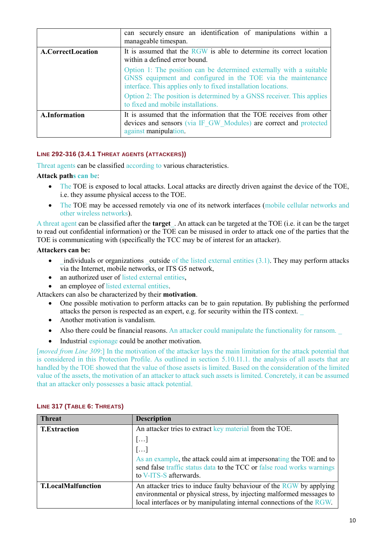|                      | can securely ensure an identification of manipulations within a<br>manageable timespan.                                                                                                              |
|----------------------|------------------------------------------------------------------------------------------------------------------------------------------------------------------------------------------------------|
| A.CorrectLocation    | It is assumed that the RGW is able to determine its correct location<br>within a defined error bound.                                                                                                |
|                      | Option 1: The position can be determined externally with a suitable<br>GNSS equipment and configured in the TOE via the maintenance<br>interface. This applies only to fixed installation locations. |
|                      | Option 2: The position is determined by a GNSS receiver. This applies<br>to fixed and mobile installations.                                                                                          |
| <b>A.Information</b> | It is assumed that the information that the TOE receives from other<br>devices and sensors (via IF GW Modules) are correct and protected<br>against manipulation.                                    |

## **LINE 292-316 (3.4.1 THREAT AGENTS (ATTACKERS))**

Threat agents can be classified according to various characteristics.

## **Attack paths can be**:

- The TOE is exposed to local attacks. Local attacks are directly driven against the device of the TOE, i.e. they assume physical access to the TOE.
- The TOE may be accessed remotely via one of its network interfaces (mobile cellular networks and other wireless networks).

A threat agent can be classified after the **target**\_. An attack can be targeted at the TOE (i.e. it can be the target to read out confidential information) or the TOE can be misused in order to attack one of the parties that the TOE is communicating with (specifically the TCC may be of interest for an attacker).

## **Attackers can be:**

- $\bullet$  individuals or organizations outside of the listed external entities (3.1). They may perform attacks via the Internet, mobile networks, or ITS G5 network,
- an authorized user of listed external entities,
- an employee of listed external entities.

Attackers can also be characterized by their **motivation**.

- One possible motivation to perform attacks can be to gain reputation. By publishing the performed attacks the person is respected as an expert, e.g. for security within the ITS context. \_
- Another motivation is vandalism.
- Also there could be financial reasons. An attacker could manipulate the functionality for ransom.
- Industrial espionage could be another motivation.

[*moved from Line 309*:] In the motivation of the attacker lays the main limitation for the attack potential that is considered in this Protection Profile. As outlined in section 5.10.11.1. the analysis of all assets that are handled by the TOE showed that the value of those assets is limited. Based on the consideration of the limited value of the assets, the motivation of an attacker to attack such assets is limited. Concretely, it can be assumed that an attacker only possesses a basic attack potential.

| <b>Threat</b>             | <b>Description</b>                                                                                                                                                                                                  |
|---------------------------|---------------------------------------------------------------------------------------------------------------------------------------------------------------------------------------------------------------------|
| <b>T.Extraction</b>       | An attacker tries to extract key material from the TOE.                                                                                                                                                             |
|                           | []                                                                                                                                                                                                                  |
|                           | []                                                                                                                                                                                                                  |
|                           | As an example, the attack could aim at impersonating the TOE and to<br>send false traffic status data to the TCC or false road works warnings<br>to V-ITS-S afterwards.                                             |
| <b>T.LocalMalfunction</b> | An attacker tries to induce faulty behaviour of the RGW by applying<br>environmental or physical stress, by injecting malformed messages to<br>local interfaces or by manipulating internal connections of the RGW. |

#### **LINE 317 (TABLE 6: THREATS)**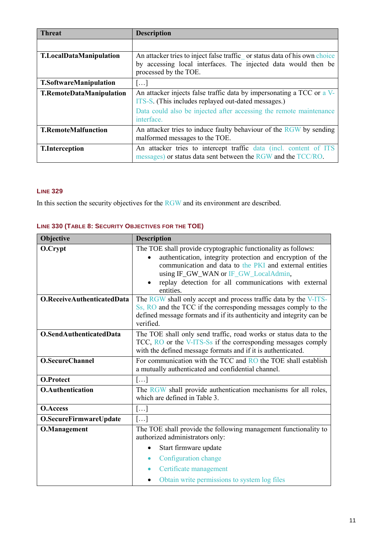| <b>Threat</b>                   | <b>Description</b>                                                                                                                                                    |
|---------------------------------|-----------------------------------------------------------------------------------------------------------------------------------------------------------------------|
|                                 |                                                                                                                                                                       |
| <b>T.LocalDataManipulation</b>  | An attacker tries to inject false traffic or status data of his own choice<br>by accessing local interfaces. The injected data would then be<br>processed by the TOE. |
| <b>T.SoftwareManipulation</b>   | $\left[\ldots\right]$                                                                                                                                                 |
| <b>T.RemoteDataManipulation</b> | An attacker injects false traffic data by impersonating a TCC or a V-<br>ITS-S. (This includes replayed out-dated messages.)                                          |
|                                 | Data could also be injected after accessing the remote maintenance<br>interface.                                                                                      |
| <b>T.RemoteMalfunction</b>      | An attacker tries to induce faulty behaviour of the RGW by sending<br>malformed messages to the TOE.                                                                  |
| <b>T.Interception</b>           | An attacker tries to intercept traffic data (incl. content of ITS<br>messages) or status data sent between the RGW and the TCC/RO.                                    |

## **LINE 329**

In this section the security objectives for the RGW and its environment are described.

| Objective                  | <b>Description</b>                                                                                                    |
|----------------------------|-----------------------------------------------------------------------------------------------------------------------|
| O.Crypt                    | The TOE shall provide cryptographic functionality as follows:                                                         |
|                            | authentication, integrity protection and encryption of the<br>communication and data to the PKI and external entities |
|                            | using IF_GW_WAN or IF_GW_LocalAdmin,                                                                                  |
|                            | replay detection for all communications with external<br>entities.                                                    |
| O.ReceiveAuthenticatedData | The RGW shall only accept and process traffic data by the V-ITS-                                                      |
|                            | Ss, RO and the TCC if the corresponding messages comply to the                                                        |
|                            | defined message formats and if its authenticity and integrity can be<br>verified.                                     |
| O.SendAuthenticatedData    | The TOE shall only send traffic, road works or status data to the                                                     |
|                            | TCC, RO or the V-ITS-Ss if the corresponding messages comply                                                          |
|                            | with the defined message formats and if it is authenticated.                                                          |
| <b>O.SecureChannel</b>     | For communication with the TCC and RO the TOE shall establish                                                         |
|                            | a mutually authenticated and confidential channel.                                                                    |
| <b>O.Protect</b>           | []                                                                                                                    |
| <b>O.Authentication</b>    | The RGW shall provide authentication mechanisms for all roles,<br>which are defined in Table 3.                       |
| <b>O.Access</b>            | []                                                                                                                    |
| O.SecureFirmwareUpdate     | []                                                                                                                    |
| <b>O.Management</b>        | The TOE shall provide the following management functionality to<br>authorized administrators only:                    |
|                            | Start firmware update                                                                                                 |
|                            | Configuration change<br>$\bullet$                                                                                     |
|                            | Certificate management                                                                                                |
|                            | Obtain write permissions to system log files                                                                          |

## **LINE 330 (TABLE 8: SECURITY OBJECTIVES FOR THE TOE)**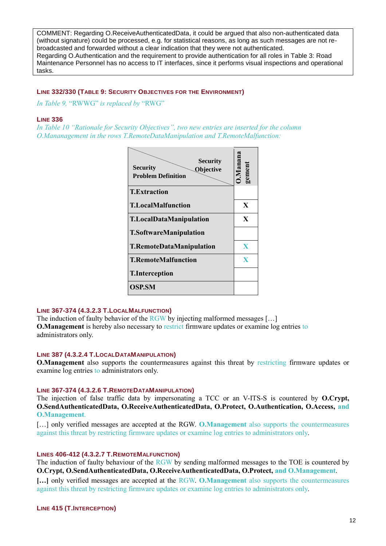COMMENT: Regarding O.ReceiveAuthenticatedData, it could be argued that also non-authenticated data (without signature) could be processed, e.g. for statistical reasons, as long as such messages are not rebroadcasted and forwarded without a clear indication that they were not authenticated. Regarding O.Authentication and the requirement to provide authentication for all roles in Table 3: Road Maintenance Personnel has no access to IT interfaces, since it performs visual inspections and operational tasks.

## **LINE 332/330 (TABLE 9: SECURITY OBJECTIVES FOR THE ENVIRONMENT)**

*In Table 9,* "RWWG" *is replaced by* "RWG"

#### **LINE 336**

*In Table 10 "Rationale for Security Objectives", two new entries are inserted for the column O.Mananagement in the rows T.RemoteDataManipulation and T.RemoteMalfunction:*



## **LINE 367-374 (4.3.2.3 T.LOCALMALFUNCTION)**

The induction of faulty behavior of the RGW by injecting malformed messages [...] **O.Management** is hereby also necessary to restrict firmware updates or examine log entries to administrators only.

## **LINE 387 (4.3.2.4 T.LOCALDATAMANIPULATION)**

**O.Management** also supports the countermeasures against this threat by restricting firmware updates or examine log entries to administrators only.

#### **LINE 367-374 (4.3.2.6 T.REMOTEDATAMANIPULATION)**

The injection of false traffic data by impersonating a TCC or an V-ITS-S is countered by **O.Crypt, O.SendAuthenticatedData, O.ReceiveAuthenticatedData, O.Protect, O.Authentication, O.Access, and O.Management**.

[…] only verified messages are accepted at the RGW. **O.Management** also supports the countermeasures against this threat by restricting firmware updates or examine log entries to administrators only.

#### **LINES 406-412 (4.3.2.7 T.REMOTEMALFUNCTION)**

The induction of faulty behaviour of the RGW by sending malformed messages to the TOE is countered by **O.Crypt, O.SendAuthenticatedData, O.ReceiveAuthenticatedData, O.Protect, and O.Management**.

**[…]** only verified messages are accepted at the RGW. **O.Management** also supports the countermeasures against this threat by restricting firmware updates or examine log entries to administrators only.

**LINE 415 (T.INTERCEPTION)**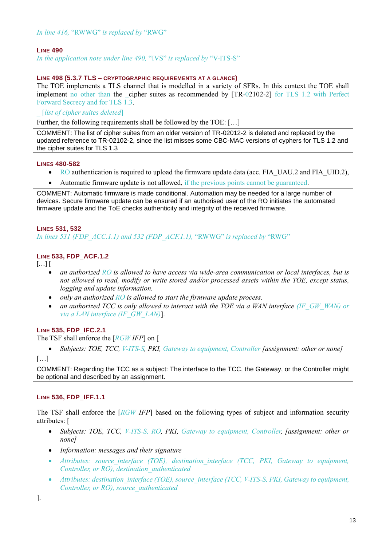## **LINE 490**

*In the application note under line 490,* "IVS" *is replaced by* "V-ITS-S"

## **LINE 498 (5.3.7 TLS – CRYPTOGRAPHIC REQUIREMENTS AT A GLANCE)**

The TOE implements a TLS channel that is modelled in a variety of SFRs. In this context the TOE shall implement no other than the cipher suites as recommended by [TR-02102-2] for TLS 1.2 with Perfect Forward Secrecy and for TLS 1.3.

\_ [*list of cipher suites deleted*]

Further, the following requirements shall be followed by the TOE: […]

COMMENT: The list of cipher suites from an older version of TR-02012-2 is deleted and replaced by the updated reference to TR-02102-2, since the list misses some CBC-MAC versions of cyphers for TLS 1.2 and the cipher suites for TLS 1.3

## **LINES 480-582**

- RO authentication is required to upload the firmware update data (acc. FIA UAU.2 and FIA UID.2),
- Automatic firmware update is not allowed, if the previous points cannot be guaranteed.

COMMENT: Automatic firmware is made conditional. Automation may be needed for a large number of devices. Secure firmware update can be ensured if an authorised user of the RO initiates the automated firmware update and the ToE checks authenticity and integrity of the received firmware.

## **LINES 531, 532**

*In lines 531 (FDP\_ACC.1.1) and 532 (FDP\_ACF.1.1),* "RWWG" *is replaced by* "RWG"

## **LINE 533, FDP\_ACF.1.2**

 $[...]$ 

- *an authorized RO is allowed to have access via wide-area communication or local interfaces, but is not allowed to read, modify or write stored and/or processed assets within the TOE, except status, logging and update information.*
- *only an authorized RO is allowed to start the firmware update process.*
- an authorized TCC is only allowed to interact with the TOE via a WAN interface (IF GW\_WAN) or *via a LAN interface (IF\_GW\_LAN)*].

## **LINE 535, FDP\_IFC.2.1**

The TSF shall enforce the [*RGW IFP*] on [

• *Subjects: TOE, TCC, V-ITS-S, PKI, Gateway to equipment, Controller [assignment: other or none]* 

[…]

COMMENT: Regarding the TCC as a subject: The interface to the TCC, the Gateway, or the Controller might be optional and described by an assignment.

## **LINE 536, FDP\_IFF.1.1**

The TSF shall enforce the [*RGW IFP*] based on the following types of subject and information security attributes: [

- *Subjects: TOE, TCC, V-ITS-S, RO, PKI, Gateway to equipment, Controller, [assignment: other or none]*
- *Information: messages and their signature*
- Attributes: source interface (TOE), destination interface (TCC, PKI, Gateway to equipment, *Controller, or RO), destination\_authenticated*
- *Attributes: destination\_interface (TOE), source\_interface (TCC, V-ITS-S, PKI, Gateway to equipment, Controller, or RO), source\_authenticated*

].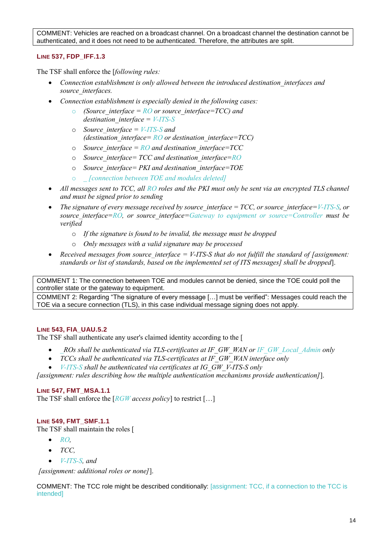COMMENT: Vehicles are reached on a broadcast channel. On a broadcast channel the destination cannot be authenticated, and it does not need to be authenticated. Therefore, the attributes are split.

## **LINE 537, FDP\_IFF.1.3**

The TSF shall enforce the [*following rules:*

- *Connection establishment is only allowed between the introduced destination\_interfaces and source\_interfaces.*
- *Connection establishment is especially denied in the following cases:*
	- *(Source interface =*  $RO$  *or source interface=TCC) and destination\_interface = V-ITS-S*
	- o *Source\_interface = V-ITS-S and (destination\_interface= RO or destination\_interface=TCC)*
	- o *Source\_interface = RO and destination\_interface=TCC*
	- o *Source\_interface= TCC and destination\_interface=RO*
	- o *Source\_interface= PKI and destination\_interface=TOE*
	- o *\_ [connection between TOE and modules deleted]*
- All messages sent to TCC, all RO roles and the PKI must only be sent via an encrypted TLS channel *and must be signed prior to sending*
- *The signature of every message received by source interface = TCC, or source interface=V-ITS-S, or source\_interface=RO, or source\_interface=Gateway to equipment or source=Controller must be verified*
	- o *If the signature is found to be invalid, the message must be dropped*
	- o *Only messages with a valid signature may be processed*
- *Received messages from source interface = V-ITS-S that do not fulfill the standard of [assignment:*  $\overline{\phantom{a}}$ *] standards or list of standards, based on the implemented set of ITS messages] shall be dropped*].

COMMENT 1: The connection between TOE and modules cannot be denied, since the TOE could poll the controller state or the gateway to equipment.

COMMENT 2: Regarding "The signature of every message […] must be verified": Messages could reach the TOE via a secure connection (TLS), in this case individual message signing does not apply.

#### **LINE 543, FIA\_UAU.5.2**

The TSF shall authenticate any user's claimed identity according to the [

- *\_ROs shall be authenticated via TLS-certificates at IF\_GW\_WAN or IF\_GW\_Local\_Admin only*
- *TCCs shall be authenticated via TLS-certificates at IF\_GW\_WAN interface only*
- *V-ITS-S shall be authenticated via certificates at IG\_GW\_V-ITS-S only*

*[assignment: rules describing how the multiple authentication mechanisms provide authentication]*].

#### **LINE 547, FMT\_MSA.1.1**

The TSF shall enforce the [*RGW access policy*] to restrict […]

#### **LINE 549, FMT\_SMF.1.1**

The TSF shall maintain the roles [

- *RO*,
- *TCC,*
- *V-ITS-S, and*

*[assignment: additional roles or none]*].

COMMENT: The TCC role might be described conditionally: [assignment: TCC, if a connection to the TCC is intended]